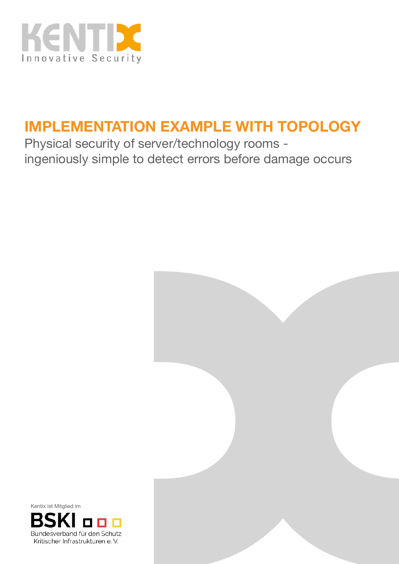

## **IMPLEMENTATION EXAMPLE WITH TOPOLOGY**

Physical security of server/technology rooms ingeniously simple to detect errors before damage occurs



Kentix ist Mitglied im

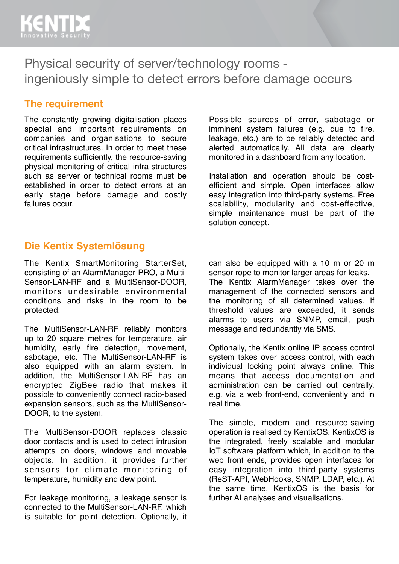

Physical security of server/technology rooms ingeniously simple to detect errors before damage occurs

#### **The requirement**

The constantly growing digitalisation places special and important requirements on companies and organisations to secure critical infrastructures. In order to meet these requirements sufficiently, the resource-saving physical monitoring of critical infra-structures such as server or technical rooms must be established in order to detect errors at an early stage before damage and costly failures occur.

Possible sources of error, sabotage or imminent system failures (e.g. due to fire, leakage, etc.) are to be reliably detected and alerted automatically. All data are clearly monitored in a dashboard from any location.

Installation and operation should be costefficient and simple. Open interfaces allow easy integration into third-party systems. Free scalability, modularity and cost-effective, simple maintenance must be part of the solution concept.

#### **Die Kentix Systemlösung**

The Kentix SmartMonitoring StarterSet, consisting of an AlarmManager-PRO, a Multi-Sensor-LAN-RF and a MultiSensor-DOOR, monitors undesirable environmental conditions and risks in the room to be protected.

The MultiSensor-LAN-RF reliably monitors up to 20 square metres for temperature, air humidity, early fire detection, movement, sabotage, etc. The MultiSensor-LAN-RF is also equipped with an alarm system. In addition, the MultiSensor-LAN-RF has an encrypted ZigBee radio that makes it possible to conveniently connect radio-based expansion sensors, such as the MultiSensor-DOOR, to the system.

The MultiSensor-DOOR replaces classic door contacts and is used to detect intrusion attempts on doors, windows and movable objects. In addition, it provides further sensors for climate monitoring of temperature, humidity and dew point.

For leakage monitoring, a leakage sensor is connected to the MultiSensor-LAN-RF, which is suitable for point detection. Optionally, it

can also be equipped with a 10 m or 20 m sensor rope to monitor larger areas for leaks. The Kentix AlarmManager takes over the management of the connected sensors and the monitoring of all determined values. If threshold values are exceeded, it sends alarms to users via SNMP, email, push message and redundantly via SMS.

Optionally, the Kentix online IP access control system takes over access control, with each individual locking point always online. This means that access documentation and administration can be carried out centrally, e.g. via a web front-end, conveniently and in real time.

The simple, modern and resource-saving operation is realised by KentixOS. KentixOS is the integrated, freely scalable and modular IoT software platform which, in addition to the web front ends, provides open interfaces for easy integration into third-party systems (ReST-API, WebHooks, SNMP, LDAP, etc.). At the same time, KentixOS is the basis for further AI analyses and visualisations.